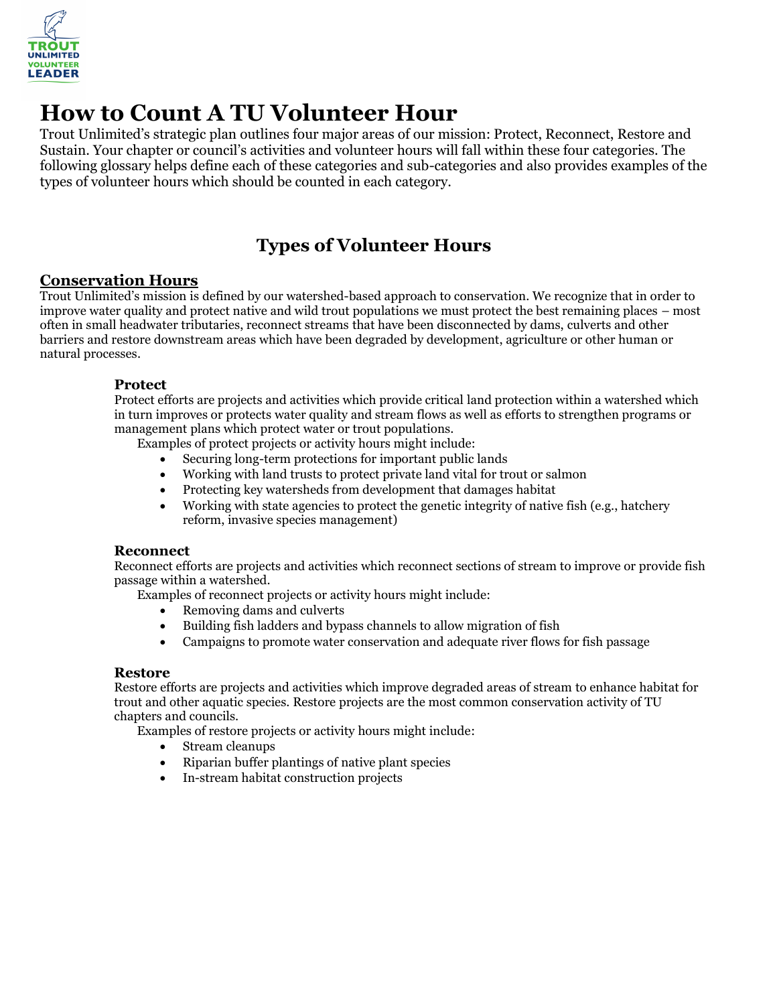

# **How to Count A TU Volunteer Hour**

Trout Unlimited's strategic plan outlines four major areas of our mission: Protect, Reconnect, Restore and Sustain. Your chapter or council's activities and volunteer hours will fall within these four categories. The following glossary helps define each of these categories and sub-categories and also provides examples of the types of volunteer hours which should be counted in each category.

## **Types of Volunteer Hours**

#### **Conservation Hours**

Trout Unlimited's mission is defined by our watershed-based approach to conservation. We recognize that in order to improve water quality and protect native and wild trout populations we must protect the best remaining places – most often in small headwater tributaries, reconnect streams that have been disconnected by dams, culverts and other barriers and restore downstream areas which have been degraded by development, agriculture or other human or natural processes.

#### **Protect**

Protect efforts are projects and activities which provide critical land protection within a watershed which in turn improves or protects water quality and stream flows as well as efforts to strengthen programs or management plans which protect water or trout populations.

Examples of protect projects or activity hours might include:

- Securing long-term protections for important public lands
- Working with land trusts to protect private land vital for trout or salmon
- Protecting key watersheds from development that damages habitat
- Working with state agencies to protect the genetic integrity of native fish (e.g., hatchery reform, invasive species management)

#### **Reconnect**

Reconnect efforts are projects and activities which reconnect sections of stream to improve or provide fish passage within a watershed.

Examples of reconnect projects or activity hours might include:

- Removing dams and culverts
- Building fish ladders and bypass channels to allow migration of fish
- Campaigns to promote water conservation and adequate river flows for fish passage

#### **Restore**

Restore efforts are projects and activities which improve degraded areas of stream to enhance habitat for trout and other aquatic species. Restore projects are the most common conservation activity of TU chapters and councils.

Examples of restore projects or activity hours might include:

- Stream cleanups
- Riparian buffer plantings of native plant species
- In-stream habitat construction projects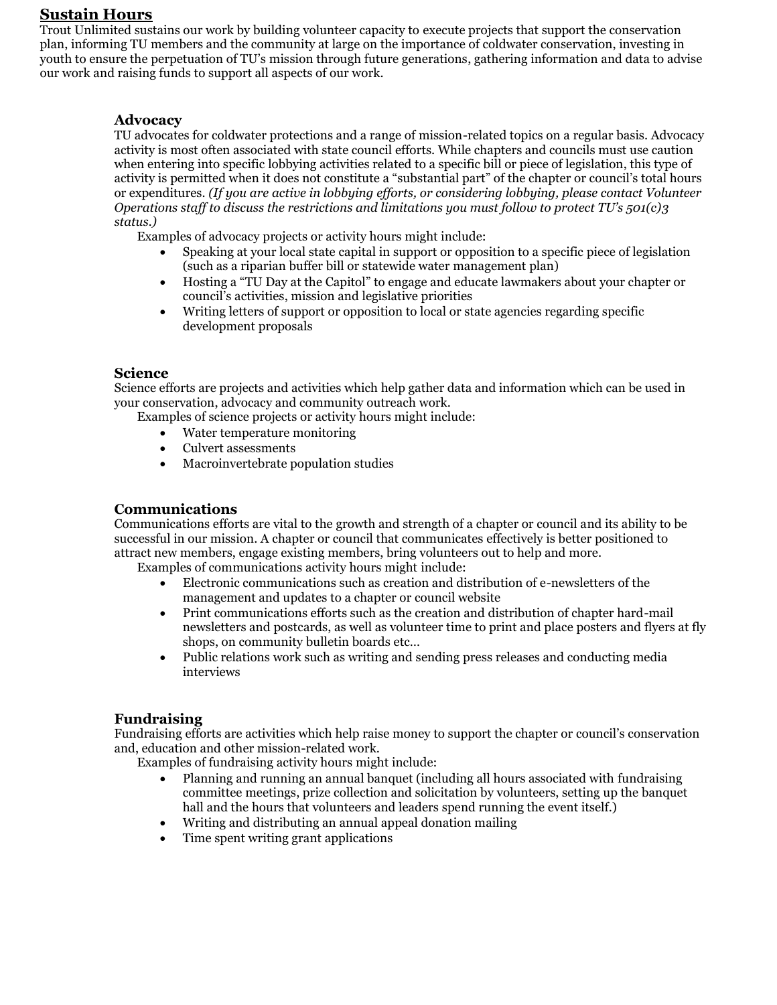#### **Sustain Hours**

Trout Unlimited sustains our work by building volunteer capacity to execute projects that support the conservation plan, informing TU members and the community at large on the importance of coldwater conservation, investing in youth to ensure the perpetuation of TU's mission through future generations, gathering information and data to advise our work and raising funds to support all aspects of our work.

#### **Advocacy**

TU advocates for coldwater protections and a range of mission-related topics on a regular basis. Advocacy activity is most often associated with state council efforts. While chapters and councils must use caution when entering into specific lobbying activities related to a specific bill or piece of legislation, this type of activity is permitted when it does not constitute a "substantial part" of the chapter or council's total hours or expenditures. *(If you are active in lobbying efforts, or considering lobbying, please contact Volunteer Operations staff to discuss the restrictions and limitations you must follow to protect TU's 501(c)3 status.)*

Examples of advocacy projects or activity hours might include:

- Speaking at your local state capital in support or opposition to a specific piece of legislation (such as a riparian buffer bill or statewide water management plan)
- Hosting a "TU Day at the Capitol" to engage and educate lawmakers about your chapter or council's activities, mission and legislative priorities
- Writing letters of support or opposition to local or state agencies regarding specific development proposals

#### **Science**

Science efforts are projects and activities which help gather data and information which can be used in your conservation, advocacy and community outreach work.

- Examples of science projects or activity hours might include:
	- Water temperature monitoring
	- Culvert assessments
	- Macroinvertebrate population studies

#### **Communications**

Communications efforts are vital to the growth and strength of a chapter or council and its ability to be successful in our mission. A chapter or council that communicates effectively is better positioned to attract new members, engage existing members, bring volunteers out to help and more.

Examples of communications activity hours might include:

- Electronic communications such as creation and distribution of e-newsletters of the management and updates to a chapter or council website
- Print communications efforts such as the creation and distribution of chapter hard-mail newsletters and postcards, as well as volunteer time to print and place posters and flyers at fly shops, on community bulletin boards etc…
- Public relations work such as writing and sending press releases and conducting media interviews

#### **Fundraising**

Fundraising efforts are activities which help raise money to support the chapter or council's conservation and, education and other mission-related work.

Examples of fundraising activity hours might include:

- Planning and running an annual banquet (including all hours associated with fundraising committee meetings, prize collection and solicitation by volunteers, setting up the banquet hall and the hours that volunteers and leaders spend running the event itself.)
- Writing and distributing an annual appeal donation mailing
- Time spent writing grant applications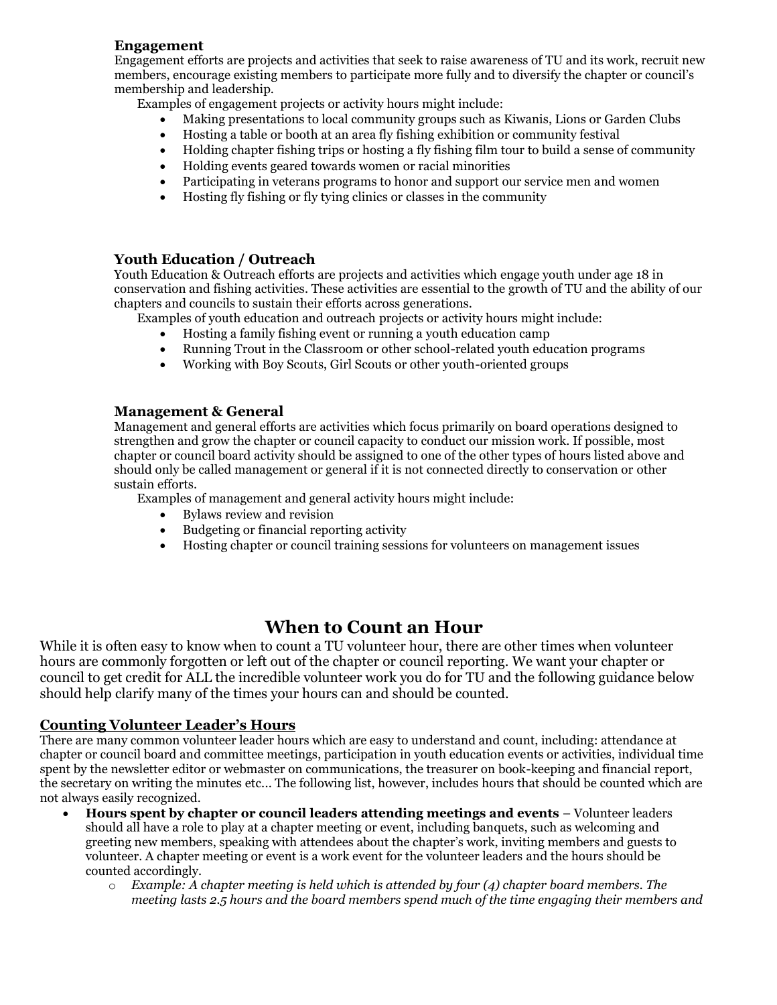#### **Engagement**

Engagement efforts are projects and activities that seek to raise awareness of TU and its work, recruit new members, encourage existing members to participate more fully and to diversify the chapter or council's membership and leadership.

Examples of engagement projects or activity hours might include:

- Making presentations to local community groups such as Kiwanis, Lions or Garden Clubs
- Hosting a table or booth at an area fly fishing exhibition or community festival
- Holding chapter fishing trips or hosting a fly fishing film tour to build a sense of community
- Holding events geared towards women or racial minorities
- Participating in veterans programs to honor and support our service men and women
- Hosting fly fishing or fly tying clinics or classes in the community

#### **Youth Education / Outreach**

Youth Education & Outreach efforts are projects and activities which engage youth under age 18 in conservation and fishing activities. These activities are essential to the growth of TU and the ability of our chapters and councils to sustain their efforts across generations.

Examples of youth education and outreach projects or activity hours might include:

- Hosting a family fishing event or running a youth education camp
- Running Trout in the Classroom or other school-related youth education programs
- Working with Boy Scouts, Girl Scouts or other youth-oriented groups

#### **Management & General**

Management and general efforts are activities which focus primarily on board operations designed to strengthen and grow the chapter or council capacity to conduct our mission work. If possible, most chapter or council board activity should be assigned to one of the other types of hours listed above and should only be called management or general if it is not connected directly to conservation or other sustain efforts.

Examples of management and general activity hours might include:

- Bylaws review and revision
- Budgeting or financial reporting activity
- Hosting chapter or council training sessions for volunteers on management issues

### **When to Count an Hour**

While it is often easy to know when to count a TU volunteer hour, there are other times when volunteer hours are commonly forgotten or left out of the chapter or council reporting. We want your chapter or council to get credit for ALL the incredible volunteer work you do for TU and the following guidance below should help clarify many of the times your hours can and should be counted.

#### **Counting Volunteer Leader's Hours**

There are many common volunteer leader hours which are easy to understand and count, including: attendance at chapter or council board and committee meetings, participation in youth education events or activities, individual time spent by the newsletter editor or webmaster on communications, the treasurer on book-keeping and financial report, the secretary on writing the minutes etc... The following list, however, includes hours that should be counted which are not always easily recognized.

- **Hours spent by chapter or council leaders attending meetings and events** Volunteer leaders should all have a role to play at a chapter meeting or event, including banquets, such as welcoming and greeting new members, speaking with attendees about the chapter's work, inviting members and guests to volunteer. A chapter meeting or event is a work event for the volunteer leaders and the hours should be counted accordingly.
	- o *Example: A chapter meeting is held which is attended by four (4) chapter board members. The meeting lasts 2.5 hours and the board members spend much of the time engaging their members and*